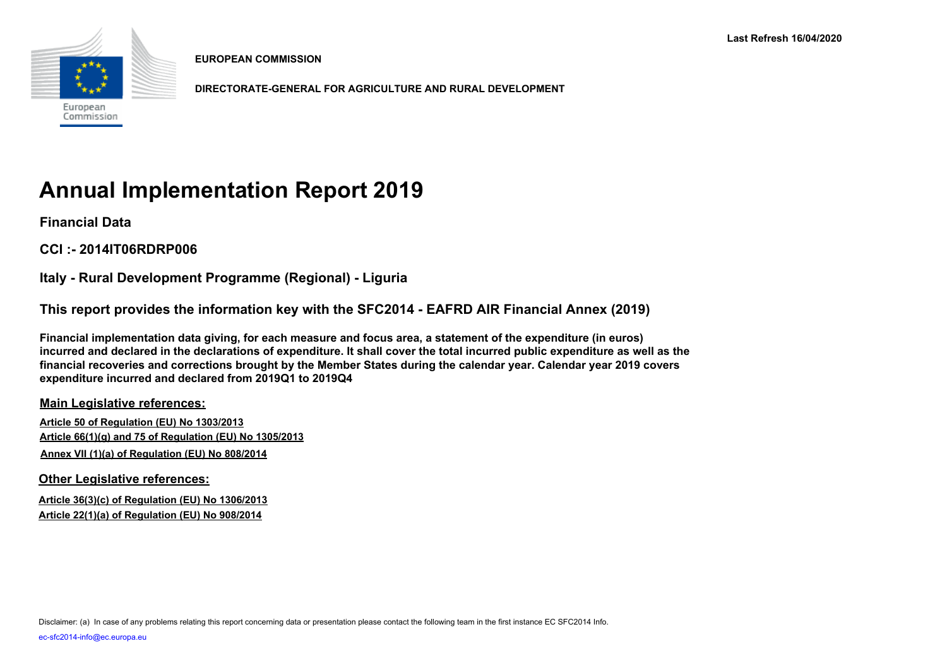

**EUROPEAN COMMISSION**

**DIRECTORATE-GENERAL FOR AGRICULTURE AND RURAL DEVELOPMENT**

# **Annual Implementation Report 2019**

**Financial Data**

**CCI :- 2014IT06RDRP006**

**Italy - Rural Development Programme (Regional) - Liguria**

**This report provides the information key with the SFC2014 - EAFRD AIR Financial Annex (2019)** 

**Financial implementation data giving, for each measure and focus area, a statement of the expenditure (in euros) incurred and declared in the declarations of expenditure. It shall cover the total incurred public expenditure as well as the financial recoveries and corrections brought by the Member States during the calendar year. Calendar year 2019 covers expenditure incurred and declared from 2019Q1 to 2019Q4**

**Main Legislative references:**

**Article 50 of Regulation (EU) No 1303/2013 Article 66(1)(g) and 75 of Regulation (EU) No 1305/2013 Annex VII (1)(a) of Regulation (EU) No 808/2014**

**Other Legislative references:**

**Article 36(3)(c) of Regulation (EU) No 1306/2013 Article 22(1)(a) of Regulation (EU) No 908/2014**

Disclaimer: (a) In case of any problems relating this report concerning data or presentation please contact the following team in the first instance EC SFC2014 Info.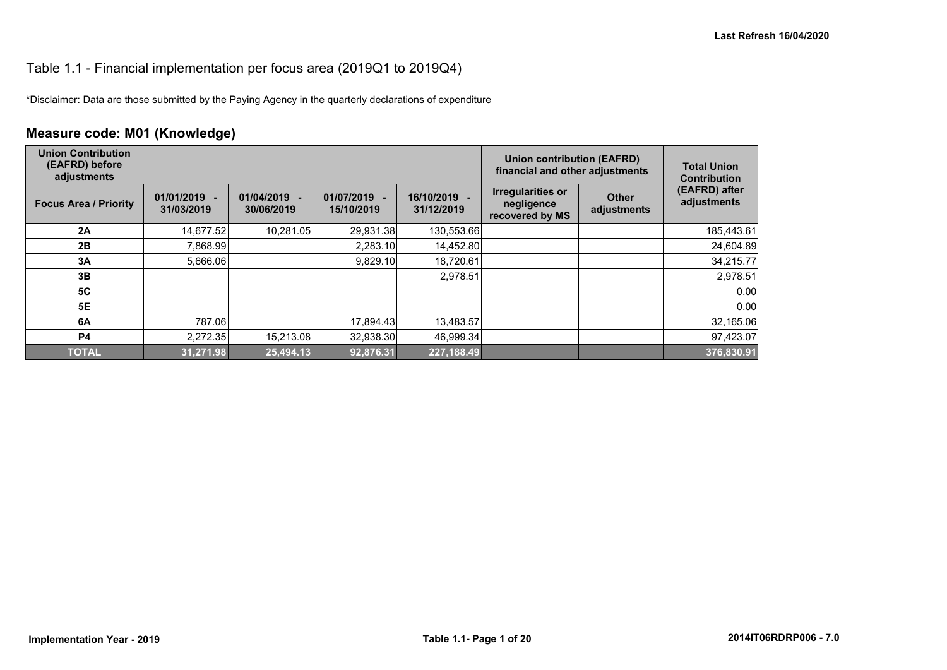#### Table 1.1 - Financial implementation per focus area (2019Q1 to 2019Q4)

\*Disclaimer: Data are those submitted by the Paying Agency in the quarterly declarations of expenditure

## **Measure code: M01 (Knowledge)**

| <b>Union Contribution</b><br>(EAFRD) before<br>adjustments |                              |                          |                            |                          | <b>Union contribution (EAFRD)</b><br>financial and other adjustments |                             | <b>Total Union</b><br><b>Contribution</b> |
|------------------------------------------------------------|------------------------------|--------------------------|----------------------------|--------------------------|----------------------------------------------------------------------|-----------------------------|-------------------------------------------|
| <b>Focus Area / Priority</b>                               | $01/01/2019 -$<br>31/03/2019 | 01/04/2019<br>30/06/2019 | 01/07/2019 -<br>15/10/2019 | 16/10/2019<br>31/12/2019 | <b>Irregularities or</b><br>negligence<br>recovered by MS            | <b>Other</b><br>adjustments | (EAFRD) after<br>adjustments              |
| 2A                                                         | 14,677.52                    | 10.281.05                | 29,931.38                  | 130,553.66               |                                                                      |                             | 185,443.61                                |
| 2B                                                         | 7,868.99                     |                          | 2,283.10                   | 14,452.80                |                                                                      |                             | 24,604.89                                 |
| 3A                                                         | 5,666.06                     |                          | 9.829.10                   | 18,720.61                |                                                                      |                             | 34,215.77                                 |
| 3B                                                         |                              |                          |                            | 2,978.51                 |                                                                      |                             | 2,978.51                                  |
| 5C                                                         |                              |                          |                            |                          |                                                                      |                             | 0.00                                      |
| 5E                                                         |                              |                          |                            |                          |                                                                      |                             | 0.00                                      |
| 6A                                                         | 787.06                       |                          | 17,894.43                  | 13,483.57                |                                                                      |                             | 32,165.06                                 |
| <b>P4</b>                                                  | 2.272.35                     | 15.213.08                | 32,938.30                  | 46.999.34                |                                                                      |                             | 97,423.07                                 |
| <b>TOTAL</b>                                               | 31.271.98                    | 25,494.13                | 92.876.31                  | 227,188.49               |                                                                      |                             | 376,830.91                                |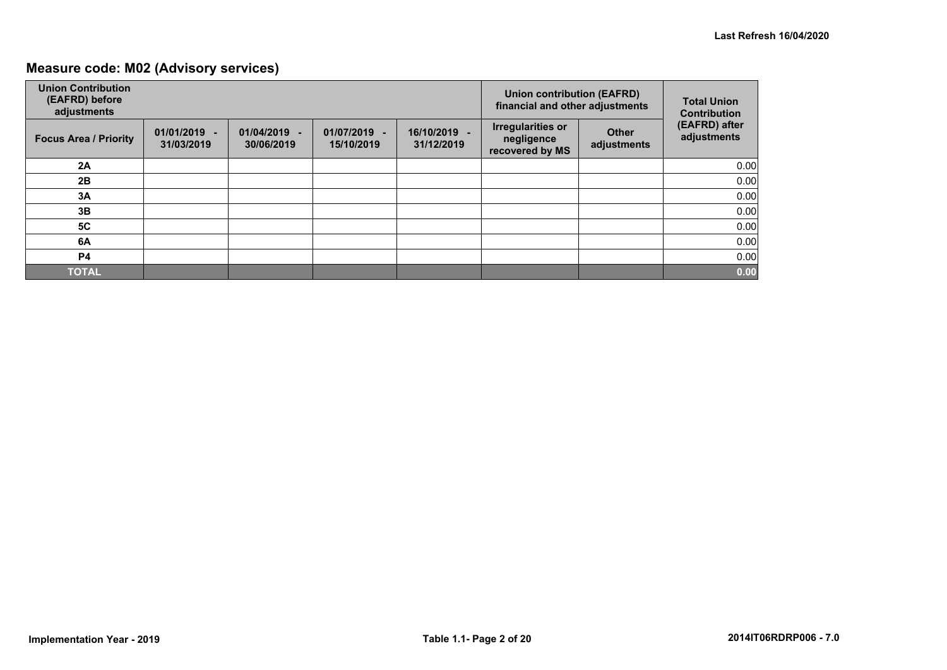## **Measure code: M02 (Advisory services)**

| <b>Union Contribution</b><br>(EAFRD) before<br>adjustments |                              |                              |                            |                            | <b>Union contribution (EAFRD)</b><br>financial and other adjustments |                             | <b>Total Union</b><br><b>Contribution</b> |
|------------------------------------------------------------|------------------------------|------------------------------|----------------------------|----------------------------|----------------------------------------------------------------------|-----------------------------|-------------------------------------------|
| <b>Focus Area / Priority</b>                               | $01/01/2019$ -<br>31/03/2019 | $01/04/2019 -$<br>30/06/2019 | 01/07/2019 -<br>15/10/2019 | 16/10/2019 -<br>31/12/2019 | <b>Irregularities or</b><br>negligence<br>recovered by MS            | <b>Other</b><br>adjustments | (EAFRD) after<br>adjustments              |
| 2A                                                         |                              |                              |                            |                            |                                                                      |                             | 0.00                                      |
| 2B                                                         |                              |                              |                            |                            |                                                                      |                             | 0.00                                      |
| 3A                                                         |                              |                              |                            |                            |                                                                      |                             | 0.00                                      |
| 3B                                                         |                              |                              |                            |                            |                                                                      |                             | 0.00                                      |
| <b>5C</b>                                                  |                              |                              |                            |                            |                                                                      |                             | 0.00                                      |
| 6A                                                         |                              |                              |                            |                            |                                                                      |                             | 0.00                                      |
| <b>P4</b>                                                  |                              |                              |                            |                            |                                                                      |                             | 0.00                                      |
| <b>TOTAL</b>                                               |                              |                              |                            |                            |                                                                      |                             | 0.00                                      |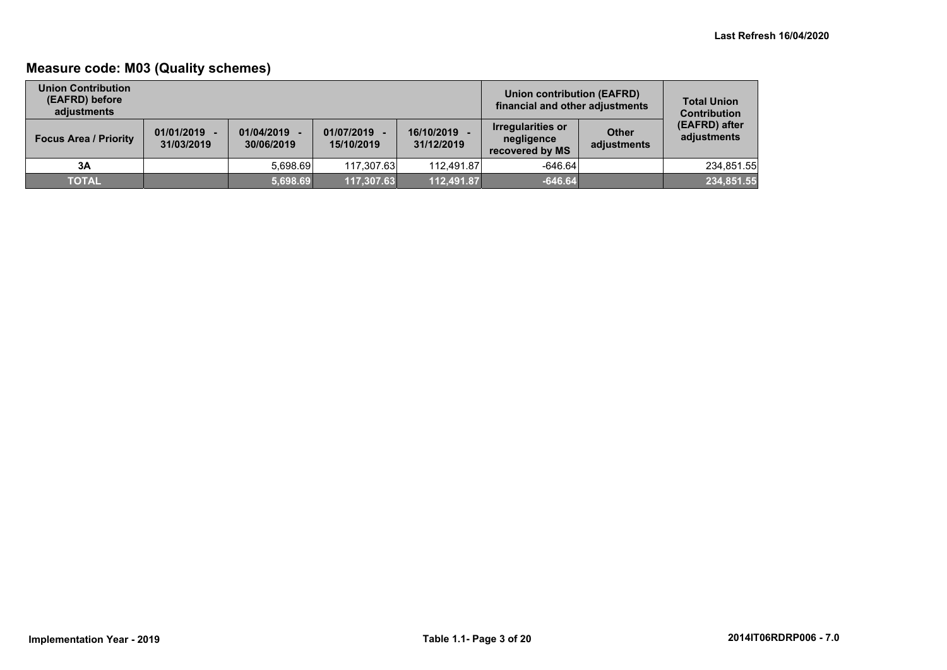## **Measure code: M03 (Quality schemes)**

| <b>Union Contribution</b><br>(EAFRD) before<br>adiustments |                              |                          |                            |                          | Union contribution (EAFRD)<br>financial and other adjustments |                             | <b>Total Union</b><br><b>Contribution</b> |
|------------------------------------------------------------|------------------------------|--------------------------|----------------------------|--------------------------|---------------------------------------------------------------|-----------------------------|-------------------------------------------|
| <b>Focus Area / Priority</b>                               | $01/01/2019$ -<br>31/03/2019 | 01/04/2019<br>30/06/2019 | 01/07/2019 -<br>15/10/2019 | 16/10/2019<br>31/12/2019 | <b>Irregularities or</b><br>negligence<br>recovered by MS     | <b>Other</b><br>adjustments | (EAFRD) after<br>adjustments              |
| 3A                                                         |                              | 5.698.69                 | 117.307.63                 | 112.491.87               | $-646.64$                                                     |                             | 234,851.55                                |
| <b>TOTAL</b>                                               |                              | 5,698.69                 | 117,307.63                 | 112,491.87               | $-646.64$                                                     |                             | 234,851.55                                |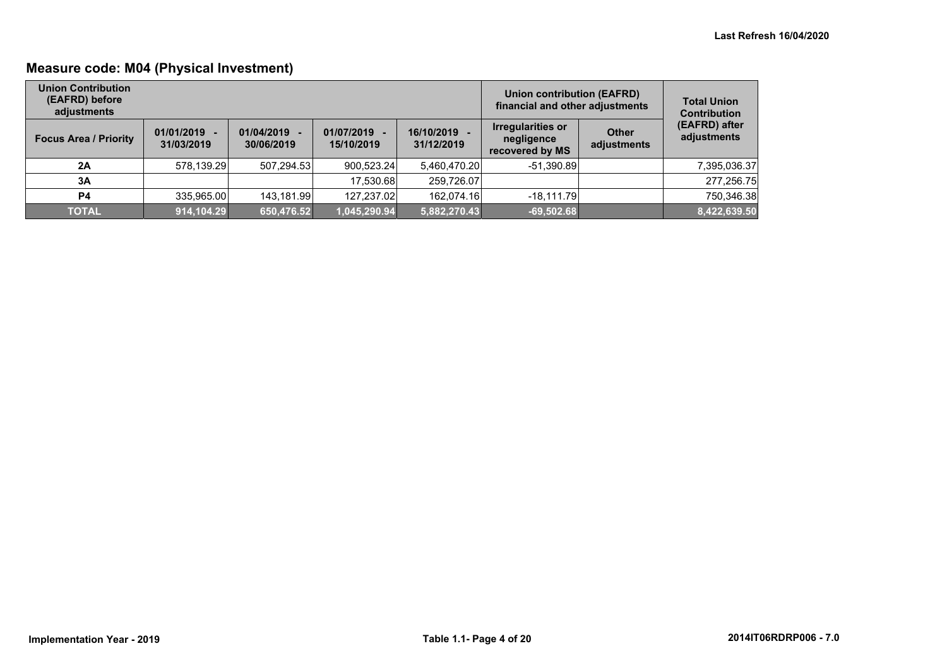## **Measure code: M04 (Physical Investment)**

| <b>Union Contribution</b><br>(EAFRD) before<br>adjustments |                              |                          |                            | Union contribution (EAFRD)<br>financial and other adjustments | <b>Total Union</b><br><b>Contribution</b>          |                      |                              |
|------------------------------------------------------------|------------------------------|--------------------------|----------------------------|---------------------------------------------------------------|----------------------------------------------------|----------------------|------------------------------|
| <b>Focus Area / Priority</b>                               | $01/01/2019 -$<br>31/03/2019 | 01/04/2019<br>30/06/2019 | 01/07/2019 -<br>15/10/2019 | 16/10/2019<br>31/12/2019                                      | Irregularities or<br>negligence<br>recovered by MS | Other<br>adjustments | (EAFRD) after<br>adjustments |
| 2A                                                         | 578,139.29                   | 507.294.53               | 900.523.24                 | 5.460.470.20                                                  | $-51.390.89$                                       |                      | 7,395,036.37                 |
| 3A                                                         |                              |                          | 17.530.68                  | 259,726.07                                                    |                                                    |                      | 277,256.75                   |
| P4                                                         | 335,965.00                   | 143,181.99               | 127.237.02                 | 162,074.16                                                    | $-18,111.79$                                       |                      | 750,346.38                   |
| <b>TOTAL</b>                                               | 914,104.29                   | 650,476.52               | 1,045,290.94               | 5,882,270.43                                                  | $-69,502.68$                                       |                      | 8,422,639.50                 |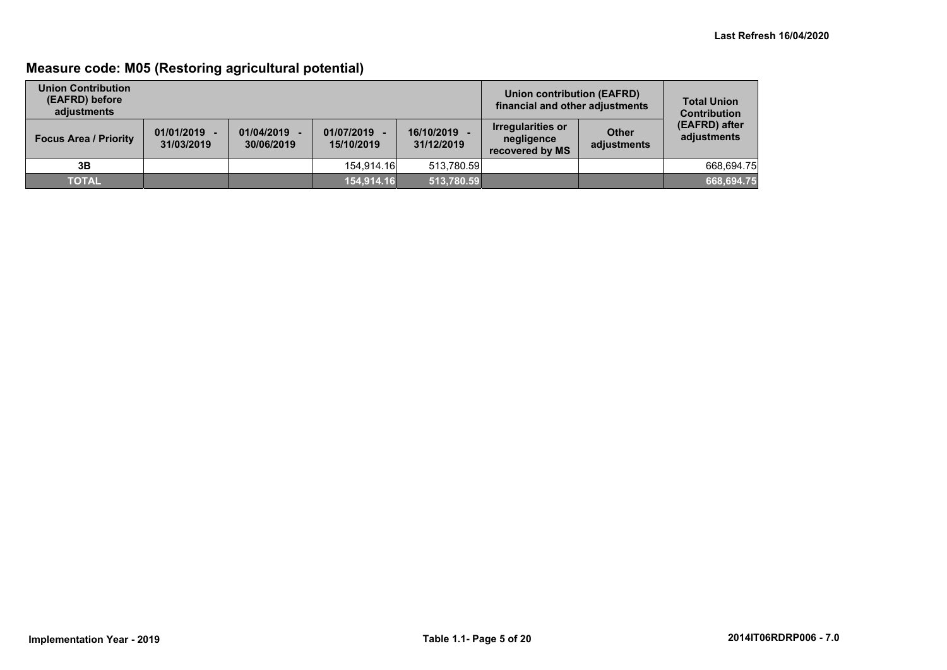## **Measure code: M05 (Restoring agricultural potential)**

| <b>Union Contribution</b><br>(EAFRD) before<br>adiustments |                              |                          |                            | Union contribution (EAFRD)<br>financial and other adjustments | <b>Total Union</b><br><b>Contribution</b>                 |                             |                              |
|------------------------------------------------------------|------------------------------|--------------------------|----------------------------|---------------------------------------------------------------|-----------------------------------------------------------|-----------------------------|------------------------------|
| <b>Focus Area / Priority</b>                               | $01/01/2019 -$<br>31/03/2019 | 01/04/2019<br>30/06/2019 | 01/07/2019 -<br>15/10/2019 | 16/10/2019<br>31/12/2019                                      | <b>Irregularities or</b><br>negligence<br>recovered by MS | <b>Other</b><br>adjustments | (EAFRD) after<br>adjustments |
| 3B                                                         |                              |                          | 154.914.16                 | 513.780.59                                                    |                                                           |                             | 668.694.75                   |
| <b>TOTAL</b>                                               |                              |                          | 154,914.16                 | 513,780.59                                                    |                                                           |                             | 668,694.75                   |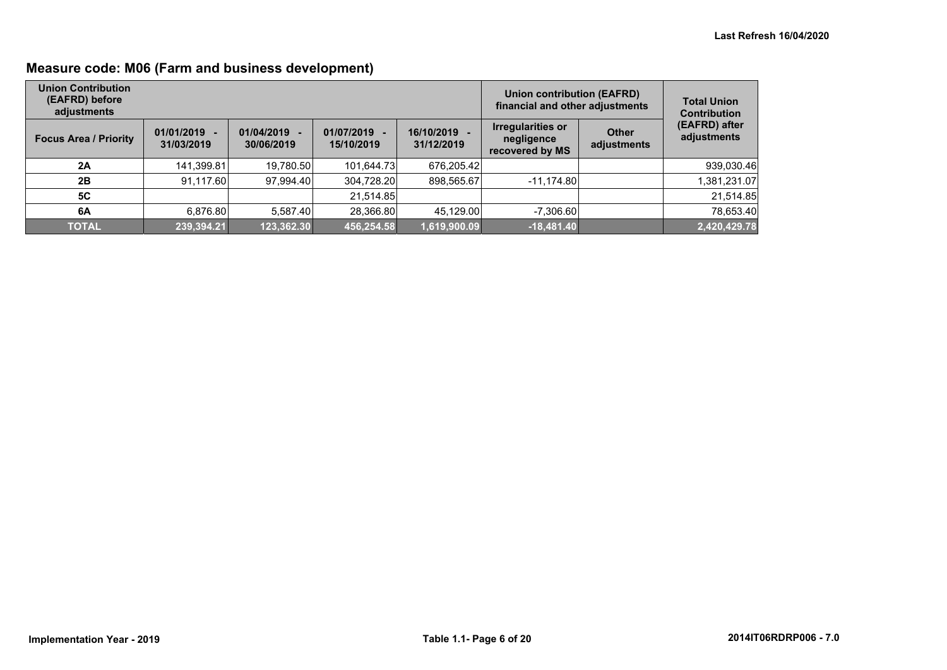## **Measure code: M06 (Farm and business development)**

| <b>Union Contribution</b><br>(EAFRD) before<br>adjustments |                              |                          |                            |                            | <b>Union contribution (EAFRD)</b><br>financial and other adjustments |                             | <b>Total Union</b><br><b>Contribution</b> |
|------------------------------------------------------------|------------------------------|--------------------------|----------------------------|----------------------------|----------------------------------------------------------------------|-----------------------------|-------------------------------------------|
| <b>Focus Area / Priority</b>                               | $01/01/2019 -$<br>31/03/2019 | 01/04/2019<br>30/06/2019 | 01/07/2019 -<br>15/10/2019 | 16/10/2019 -<br>31/12/2019 | <b>Irregularities or</b><br>negligence<br>recovered by MS            | <b>Other</b><br>adjustments | (EAFRD) after<br>adjustments              |
| 2A                                                         | 141,399.81                   | 19,780.50                | 101,644.73                 | 676,205.42                 |                                                                      |                             | 939,030.46                                |
| 2B                                                         | 91.117.60                    | 97.994.40                | 304.728.20                 | 898,565.67                 | $-11,174.80$                                                         |                             | 1,381,231.07                              |
| 5C                                                         |                              |                          | 21,514.85                  |                            |                                                                      |                             | 21,514.85                                 |
| 6A                                                         | 6,876.80                     | 5,587.40                 | 28,366.80                  | 45,129.00                  | $-7,306.60$                                                          |                             | 78,653.40                                 |
| <b>TOTAL</b>                                               | 239,394.21                   | 123,362.30               | 456,254.58                 | 1,619,900.09               | $-18,481.40$                                                         |                             | 2,420,429.78                              |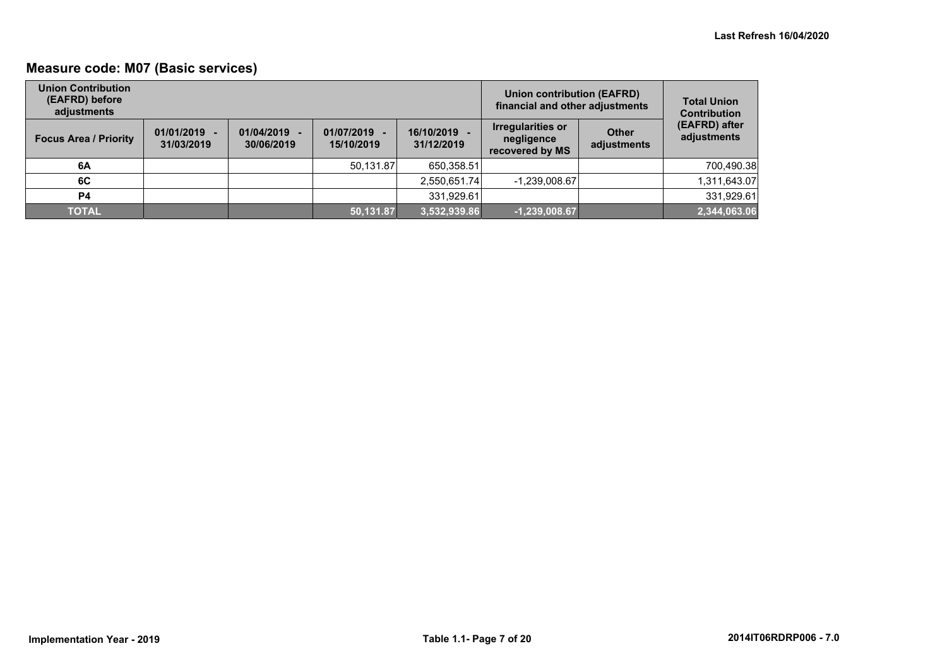## **Measure code: M07 (Basic services)**

| <b>Union Contribution</b><br>(EAFRD) before<br>adjustments |                              |                          |                            | <b>Union contribution (EAFRD)</b><br>financial and other adjustments | <b>Total Union</b><br><b>Contribution</b>                 |                             |                              |
|------------------------------------------------------------|------------------------------|--------------------------|----------------------------|----------------------------------------------------------------------|-----------------------------------------------------------|-----------------------------|------------------------------|
| <b>Focus Area / Priority</b>                               | $01/01/2019 -$<br>31/03/2019 | 01/04/2019<br>30/06/2019 | 01/07/2019 -<br>15/10/2019 | 16/10/2019<br>31/12/2019                                             | <b>Irregularities or</b><br>negligence<br>recovered by MS | <b>Other</b><br>adjustments | (EAFRD) after<br>adjustments |
| 6A                                                         |                              |                          | 50.131.87                  | 650,358.51                                                           |                                                           |                             | 700,490.38                   |
| 6C                                                         |                              |                          |                            | 2,550,651.74                                                         | $-1,239,008.67$                                           |                             | 1,311,643.07                 |
| P4                                                         |                              |                          |                            | 331,929.61                                                           |                                                           |                             | 331,929.61                   |
| <b>TOTAL</b>                                               |                              |                          | 50,131.87                  | 3,532,939.86                                                         | $-1,239,008.67$                                           |                             | 2,344,063.06                 |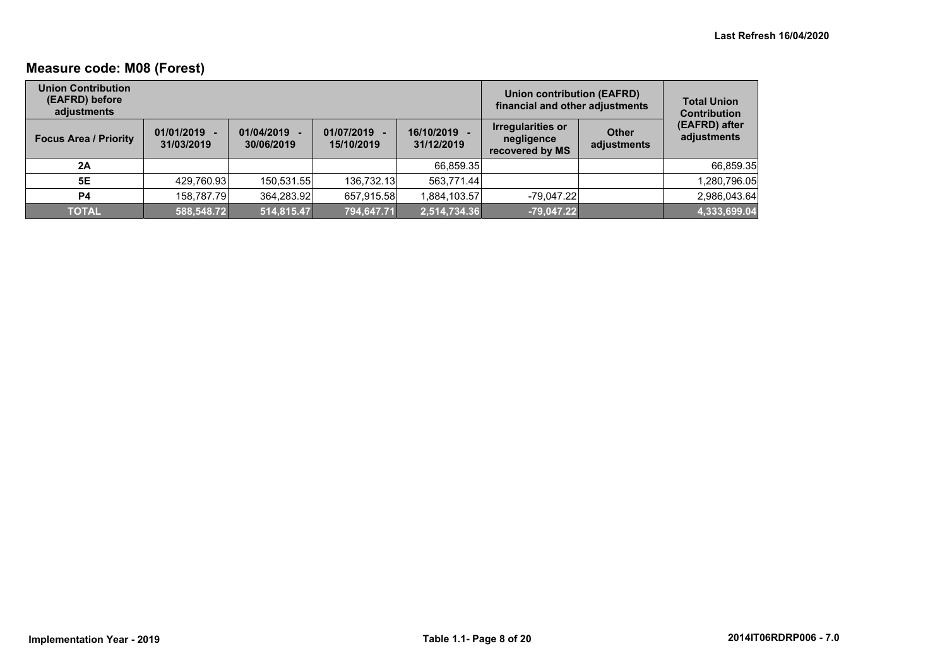## **Measure code: M08 (Forest)**

| <b>Union Contribution</b><br>(EAFRD) before<br>adjustments |                              |                          |                              | <b>Union contribution (EAFRD)</b><br>financial and other adjustments | <b>Total Union</b><br><b>Contribution</b>                 |                      |                              |
|------------------------------------------------------------|------------------------------|--------------------------|------------------------------|----------------------------------------------------------------------|-----------------------------------------------------------|----------------------|------------------------------|
| <b>Focus Area / Priority</b>                               | $01/01/2019 -$<br>31/03/2019 | 01/04/2019<br>30/06/2019 | $01/07/2019 -$<br>15/10/2019 | 16/10/2019<br>31/12/2019                                             | <b>Irregularities or</b><br>negligence<br>recovered by MS | Other<br>adjustments | (EAFRD) after<br>adjustments |
| 2A                                                         |                              |                          |                              | 66,859.35                                                            |                                                           |                      | 66,859.35                    |
| 5E                                                         | 429,760.93                   | 150,531.55               | 136.732.13                   | 563,771.44                                                           |                                                           |                      | 1,280,796.05                 |
| <b>P4</b>                                                  | 158,787.79                   | 364,283.92               | 657,915.58                   | 1,884,103.57                                                         | $-79,047.22$                                              |                      | 2,986,043.64                 |
| <b>TOTAL</b>                                               | 588,548.72                   | 514,815.47               | 794,647.71                   | 2,514,734.36                                                         | $-79,047.22$                                              |                      | 4,333,699.04                 |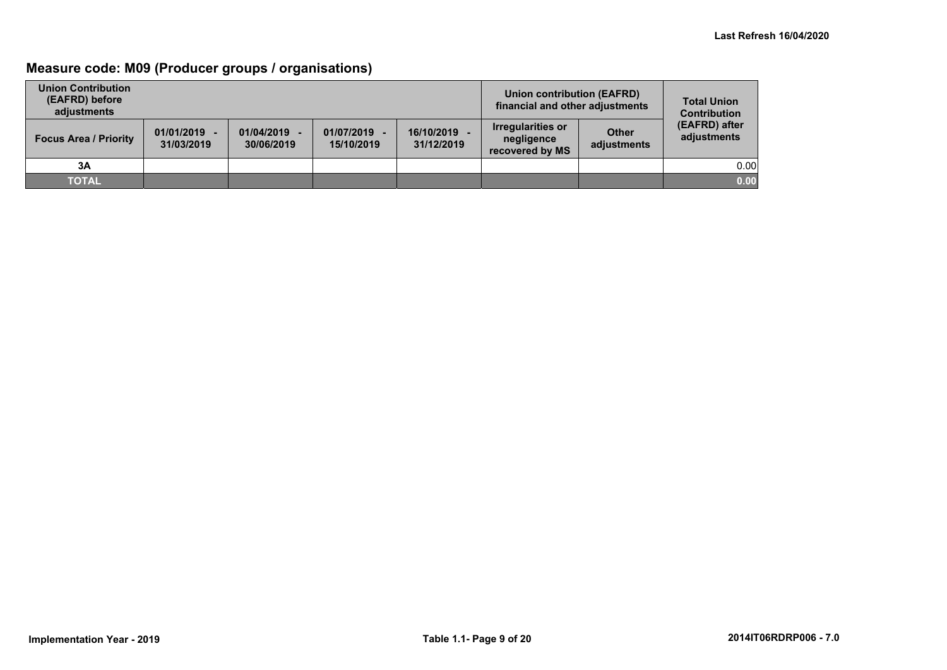## **Measure code: M09 (Producer groups / organisations)**

| <b>Union Contribution</b><br>(EAFRD) before<br>adjustments |                              |                          |                          |                            | Union contribution (EAFRD)<br>financial and other adjustments |                             | <b>Total Union</b><br><b>Contribution</b> |
|------------------------------------------------------------|------------------------------|--------------------------|--------------------------|----------------------------|---------------------------------------------------------------|-----------------------------|-------------------------------------------|
| <b>Focus Area / Priority</b>                               | $01/01/2019 -$<br>31/03/2019 | 01/04/2019<br>30/06/2019 | 01/07/2019<br>15/10/2019 | 16/10/2019 -<br>31/12/2019 | <b>Irregularities or</b><br>negligence<br>recovered by MS     | <b>Other</b><br>adjustments | (EAFRD) after<br>adjustments              |
| 3A                                                         |                              |                          |                          |                            |                                                               |                             | 0.00                                      |
| <b>TOTAL</b>                                               |                              |                          |                          |                            |                                                               |                             | 0.00                                      |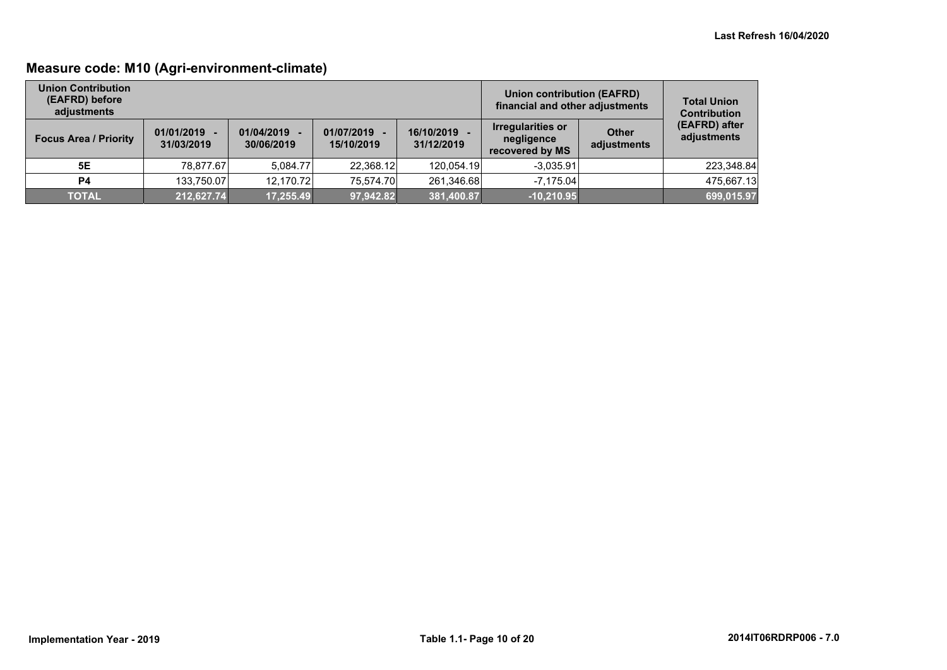## **Measure code: M10 (Agri-environment-climate)**

| <b>Union Contribution</b><br>(EAFRD) before<br>adiustments |                              |                          |                            |                          | Union contribution (EAFRD)<br>financial and other adjustments |                      | <b>Total Union</b><br><b>Contribution</b> |
|------------------------------------------------------------|------------------------------|--------------------------|----------------------------|--------------------------|---------------------------------------------------------------|----------------------|-------------------------------------------|
| <b>Focus Area / Priority</b>                               | $01/01/2019 -$<br>31/03/2019 | 01/04/2019<br>30/06/2019 | 01/07/2019 -<br>15/10/2019 | 16/10/2019<br>31/12/2019 | Irregularities or<br>negligence<br>recovered by MS            | Other<br>adjustments | (EAFRD) after<br>adjustments              |
| 5E                                                         | 78.877.67                    | 5.084.77                 | 22.368.12                  | 120,054.19               | $-3.035.91$                                                   |                      | 223,348.84                                |
| P4                                                         | 133.750.07                   | 12.170.72                | 75.574.70                  | 261.346.68               | $-7.175.04$                                                   |                      | 475,667.13                                |
| <b>TOTAL</b>                                               | 212,627.74                   | 17,255.49                | 97,942.82                  | 381,400.87               | $-10,210.95$                                                  |                      | 699,015.97                                |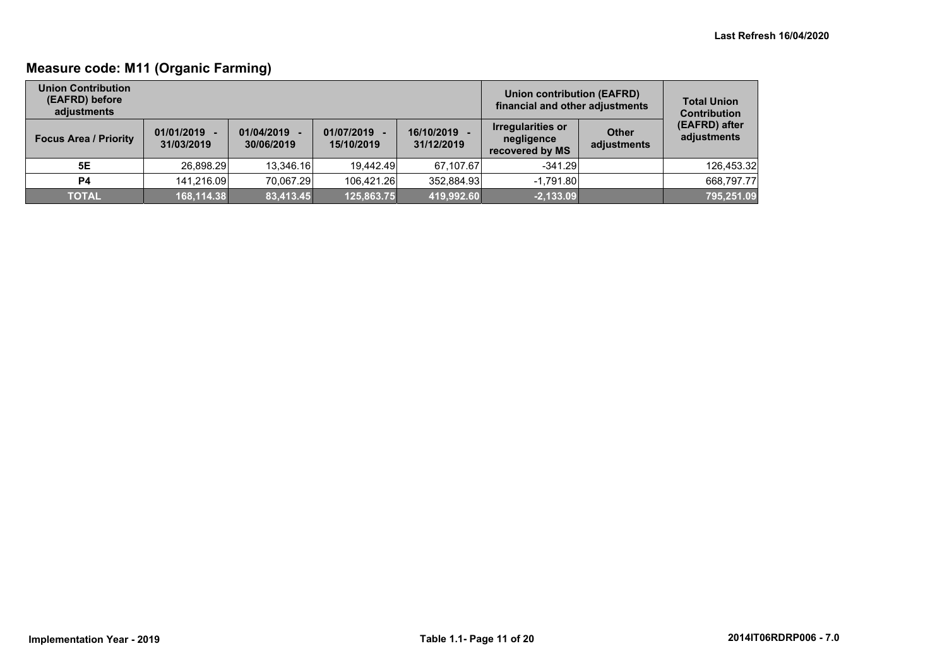## **Measure code: M11 (Organic Farming)**

| <b>Union Contribution</b><br>(EAFRD) before<br>adiustments |                              |                          |                            |                          | Union contribution (EAFRD)<br>financial and other adjustments |                             | <b>Total Union</b><br><b>Contribution</b> |
|------------------------------------------------------------|------------------------------|--------------------------|----------------------------|--------------------------|---------------------------------------------------------------|-----------------------------|-------------------------------------------|
| <b>Focus Area / Priority</b>                               | $01/01/2019 -$<br>31/03/2019 | 01/04/2019<br>30/06/2019 | 01/07/2019 -<br>15/10/2019 | 16/10/2019<br>31/12/2019 | Irregularities or<br>negligence<br>recovered by MS            | <b>Other</b><br>adjustments | (EAFRD) after<br>adjustments              |
| 5E                                                         | 26,898.29                    | 13.346.16                | 19.442.49                  | 67.107.67                | $-341.29$                                                     |                             | 126,453.32                                |
| <b>P4</b>                                                  | 141.216.09                   | 70.067.29                | 106.421.26                 | 352,884.93               | $-1.791.80$                                                   |                             | 668,797.77                                |
| <b>TOTAL</b>                                               | 168,114.38                   | 83,413.45                | 125,863.75                 | 419,992.60               | $-2,133.09$                                                   |                             | 795,251.09                                |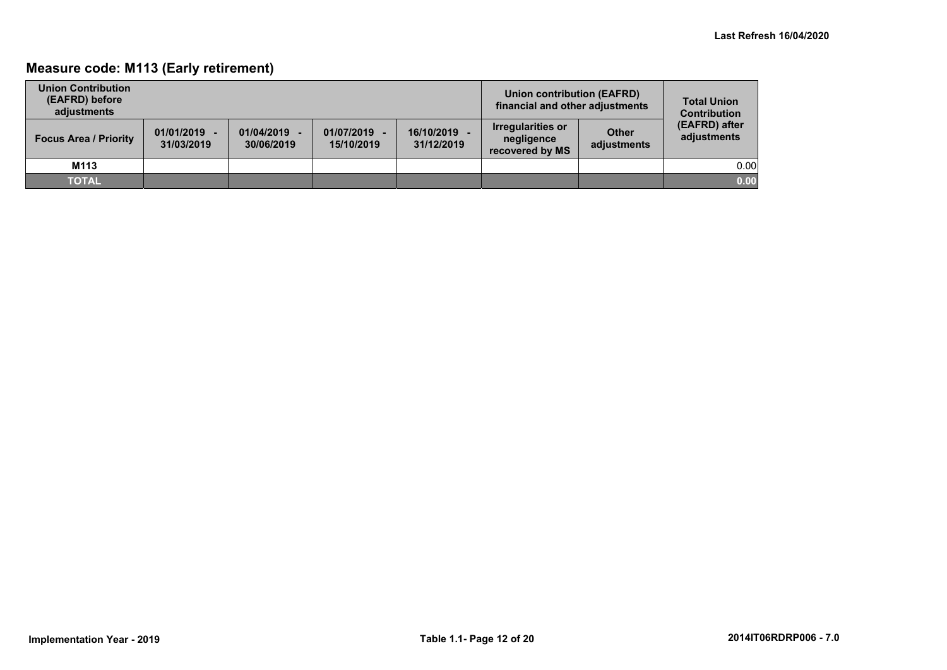## **Measure code: M113 (Early retirement)**

| <b>Union Contribution</b><br>(EAFRD) before<br>adiustments |                              |                          |                            | Union contribution (EAFRD)<br>financial and other adjustments | <b>Total Union</b><br><b>Contribution</b>                 |                             |                              |
|------------------------------------------------------------|------------------------------|--------------------------|----------------------------|---------------------------------------------------------------|-----------------------------------------------------------|-----------------------------|------------------------------|
| <b>Focus Area / Priority</b>                               | $01/01/2019 -$<br>31/03/2019 | 01/04/2019<br>30/06/2019 | 01/07/2019 -<br>15/10/2019 | 16/10/2019<br>31/12/2019                                      | <b>Irregularities or</b><br>negligence<br>recovered by MS | <b>Other</b><br>adjustments | (EAFRD) after<br>adjustments |
| M113                                                       |                              |                          |                            |                                                               |                                                           |                             | 0.00                         |
| <b>TOTAL</b>                                               |                              |                          |                            |                                                               |                                                           |                             | 0.00                         |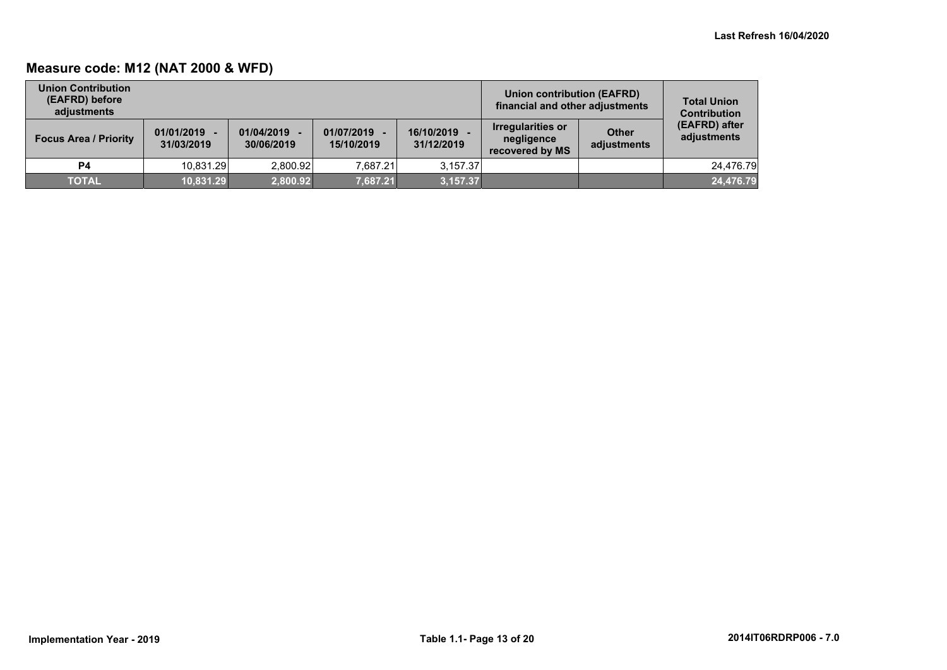## **Measure code: M12 (NAT 2000 & WFD)**

| <b>Union Contribution</b><br>(EAFRD) before<br>adiustments |                              |                          |                            |                          | Union contribution (EAFRD)<br>financial and other adjustments |                             | <b>Total Union</b><br><b>Contribution</b> |
|------------------------------------------------------------|------------------------------|--------------------------|----------------------------|--------------------------|---------------------------------------------------------------|-----------------------------|-------------------------------------------|
| <b>Focus Area / Priority</b>                               | $01/01/2019 -$<br>31/03/2019 | 01/04/2019<br>30/06/2019 | 01/07/2019 -<br>15/10/2019 | 16/10/2019<br>31/12/2019 | <b>Irregularities or</b><br>negligence<br>recovered by MS     | <b>Other</b><br>adjustments | (EAFRD) after<br>adjustments              |
| <b>P4</b>                                                  | 10.831.29                    | 2.800.92                 | 7.687.21                   | 3.157.37                 |                                                               |                             | 24.476.79                                 |
| <b>TOTAL</b>                                               | 10,831.29                    | 2,800.92                 | 7.687.21                   | 3,157.37                 |                                                               |                             | 24,476.79                                 |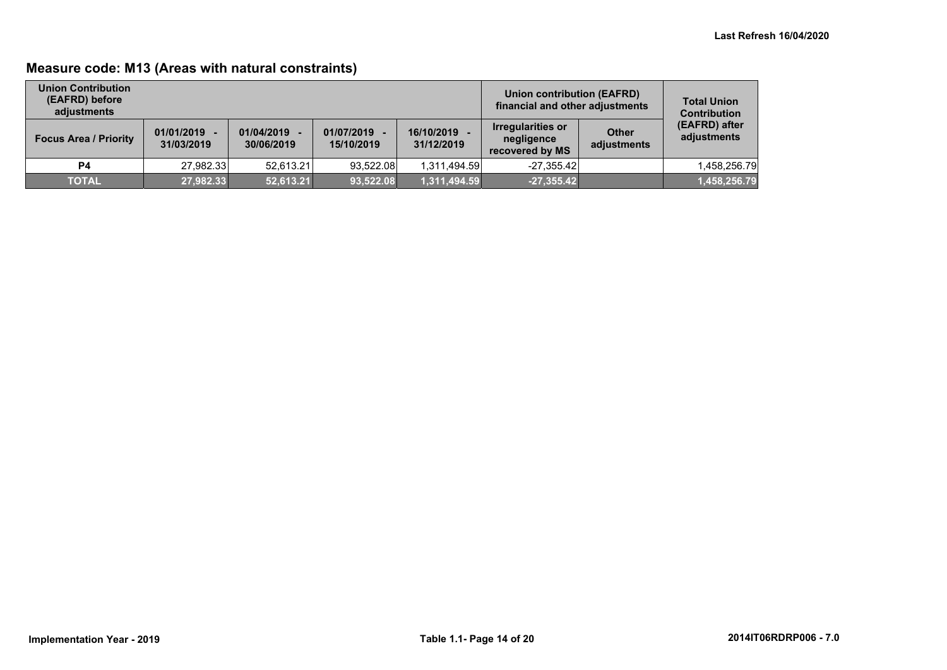## **Measure code: M13 (Areas with natural constraints)**

| <b>Union Contribution</b><br>(EAFRD) before<br>adjustments |                              |                          |                            |                          | Union contribution (EAFRD)<br>financial and other adjustments |                             | <b>Total Union</b><br><b>Contribution</b> |
|------------------------------------------------------------|------------------------------|--------------------------|----------------------------|--------------------------|---------------------------------------------------------------|-----------------------------|-------------------------------------------|
| <b>Focus Area / Priority</b>                               | $01/01/2019 -$<br>31/03/2019 | 01/04/2019<br>30/06/2019 | 01/07/2019 -<br>15/10/2019 | 16/10/2019<br>31/12/2019 | <b>Irregularities or</b><br>negligence<br>recovered by MS     | <b>Other</b><br>adjustments | (EAFRD) after<br>adjustments              |
| P4                                                         | 27,982.33                    | 52.613.21                | 93.522.08                  | 1,311,494.59             | $-27,355.42$                                                  |                             | 1,458,256.79                              |
| <b>TOTAL</b>                                               | 27,982.33                    | 52,613.21                | 93,522.08                  | 1,311,494.59             | $-27,355.42$                                                  |                             | 1,458,256.79                              |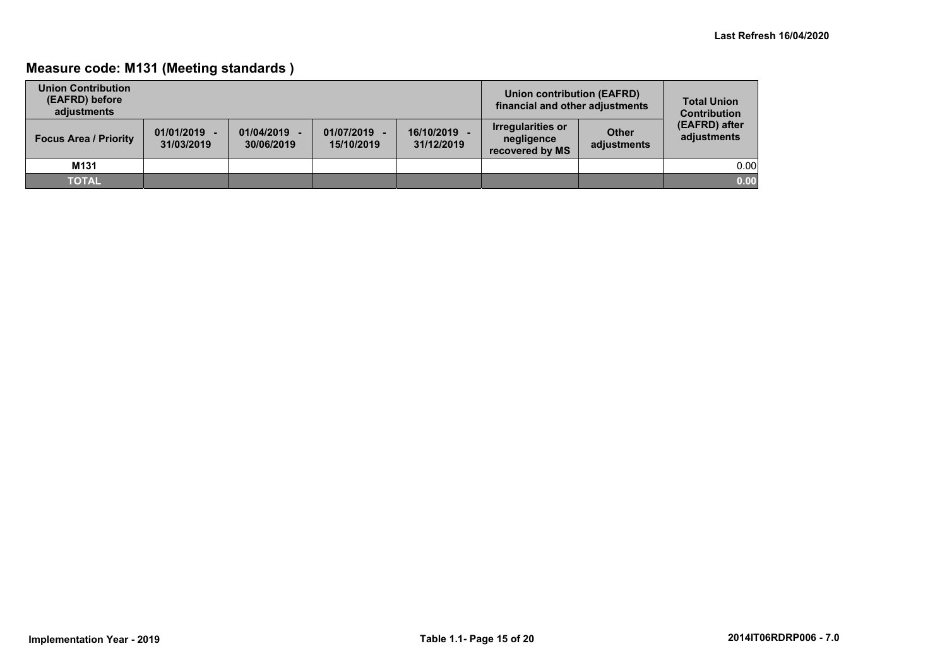## **Measure code: M131 (Meeting standards )**

| <b>Union Contribution</b><br>(EAFRD) before<br>adiustments |                              |                          |                            |                          | Union contribution (EAFRD)<br>financial and other adjustments |                             | <b>Total Union</b><br><b>Contribution</b> |
|------------------------------------------------------------|------------------------------|--------------------------|----------------------------|--------------------------|---------------------------------------------------------------|-----------------------------|-------------------------------------------|
| <b>Focus Area / Priority</b>                               | $01/01/2019 -$<br>31/03/2019 | 01/04/2019<br>30/06/2019 | 01/07/2019 -<br>15/10/2019 | 16/10/2019<br>31/12/2019 | <b>Irregularities or</b><br>negligence<br>recovered by MS     | <b>Other</b><br>adjustments | (EAFRD) after<br>adjustments              |
| M131                                                       |                              |                          |                            |                          |                                                               |                             | 0.00                                      |
| <b>TOTAL</b>                                               |                              |                          |                            |                          |                                                               |                             | 0.00                                      |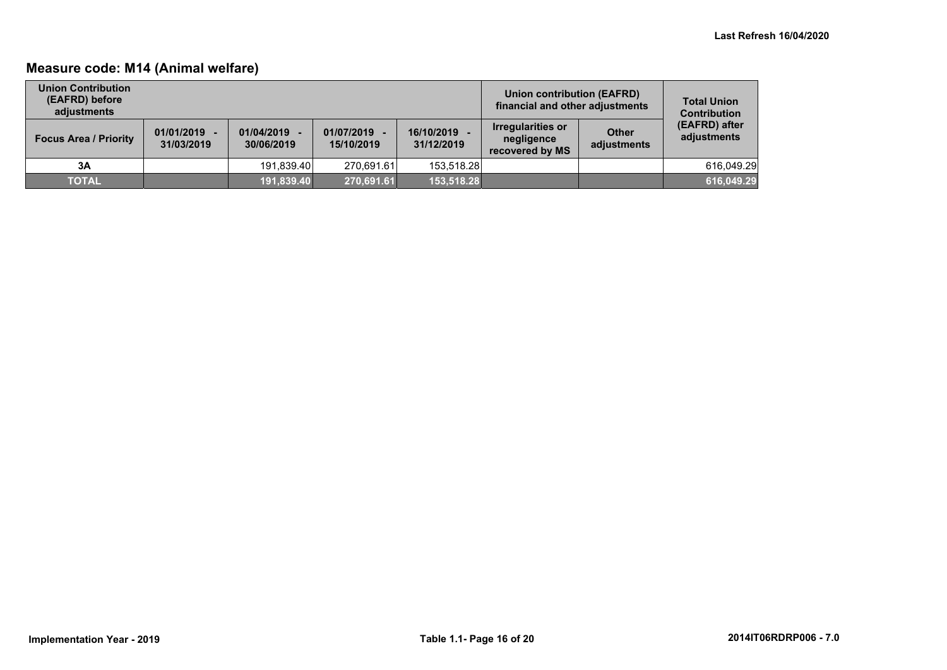## **Measure code: M14 (Animal welfare)**

| <b>Union Contribution</b><br>(EAFRD) before<br>adiustments |                              |                          |                            |                          | Union contribution (EAFRD)<br>financial and other adjustments |                             | <b>Total Union</b><br><b>Contribution</b> |
|------------------------------------------------------------|------------------------------|--------------------------|----------------------------|--------------------------|---------------------------------------------------------------|-----------------------------|-------------------------------------------|
| <b>Focus Area / Priority</b>                               | $01/01/2019 -$<br>31/03/2019 | 01/04/2019<br>30/06/2019 | 01/07/2019 -<br>15/10/2019 | 16/10/2019<br>31/12/2019 | <b>Irregularities or</b><br>negligence<br>recovered by MS     | <b>Other</b><br>adjustments | (EAFRD) after<br>adjustments              |
| 3A                                                         |                              | 191.839.40               | 270.691.61                 | 153.518.28               |                                                               |                             | 616.049.29                                |
| <b>TOTAL</b>                                               |                              | 191,839.40               | 270,691.61                 | 153,518.28               |                                                               |                             | 616,049.29                                |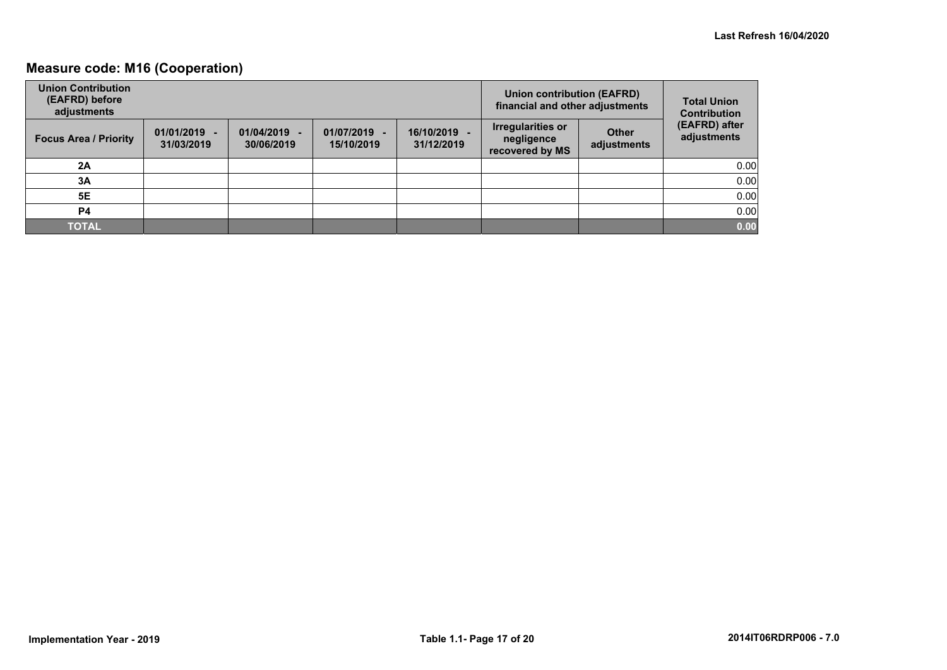## **Measure code: M16 (Cooperation)**

| <b>Union Contribution</b><br>(EAFRD) before<br>adjustments |                              |                          |                            |                            | <b>Union contribution (EAFRD)</b><br>financial and other adjustments |                             | <b>Total Union</b><br><b>Contribution</b> |
|------------------------------------------------------------|------------------------------|--------------------------|----------------------------|----------------------------|----------------------------------------------------------------------|-----------------------------|-------------------------------------------|
| <b>Focus Area / Priority</b>                               | $01/01/2019 -$<br>31/03/2019 | 01/04/2019<br>30/06/2019 | 01/07/2019 -<br>15/10/2019 | 16/10/2019 -<br>31/12/2019 | Irregularities or<br>negligence<br>recovered by MS                   | <b>Other</b><br>adjustments | (EAFRD) after<br>adjustments              |
| 2A                                                         |                              |                          |                            |                            |                                                                      |                             | 0.00                                      |
| 3A                                                         |                              |                          |                            |                            |                                                                      |                             | 0.00                                      |
| 5E                                                         |                              |                          |                            |                            |                                                                      |                             | 0.00                                      |
| P4                                                         |                              |                          |                            |                            |                                                                      |                             | 0.00                                      |
| <b>TOTAL</b>                                               |                              |                          |                            |                            |                                                                      |                             | 0.00                                      |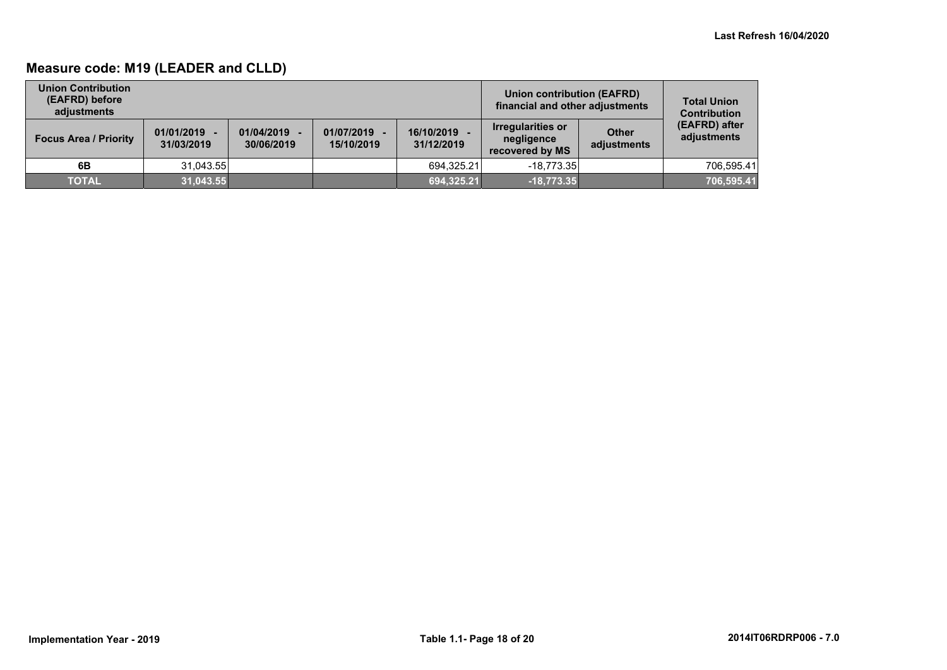## **Measure code: M19 (LEADER and CLLD)**

| <b>Union Contribution</b><br>(EAFRD) before<br>adiustments |                              |                          |                            |                          | Union contribution (EAFRD)<br>financial and other adjustments |                             | <b>Total Union</b><br><b>Contribution</b> |
|------------------------------------------------------------|------------------------------|--------------------------|----------------------------|--------------------------|---------------------------------------------------------------|-----------------------------|-------------------------------------------|
| <b>Focus Area / Priority</b>                               | $01/01/2019 -$<br>31/03/2019 | 01/04/2019<br>30/06/2019 | 01/07/2019 -<br>15/10/2019 | 16/10/2019<br>31/12/2019 | <b>Irregularities or</b><br>negligence<br>recovered by MS     | <b>Other</b><br>adjustments | (EAFRD) after<br>adjustments              |
| 6B                                                         | 31.043.55                    |                          |                            | 694,325.21               | $-18.773.35$                                                  |                             | 706.595.41                                |
| <b>TOTAL</b>                                               | 31,043.55                    |                          |                            | 694,325.21               | $-18,773.35$                                                  |                             | 706,595.41                                |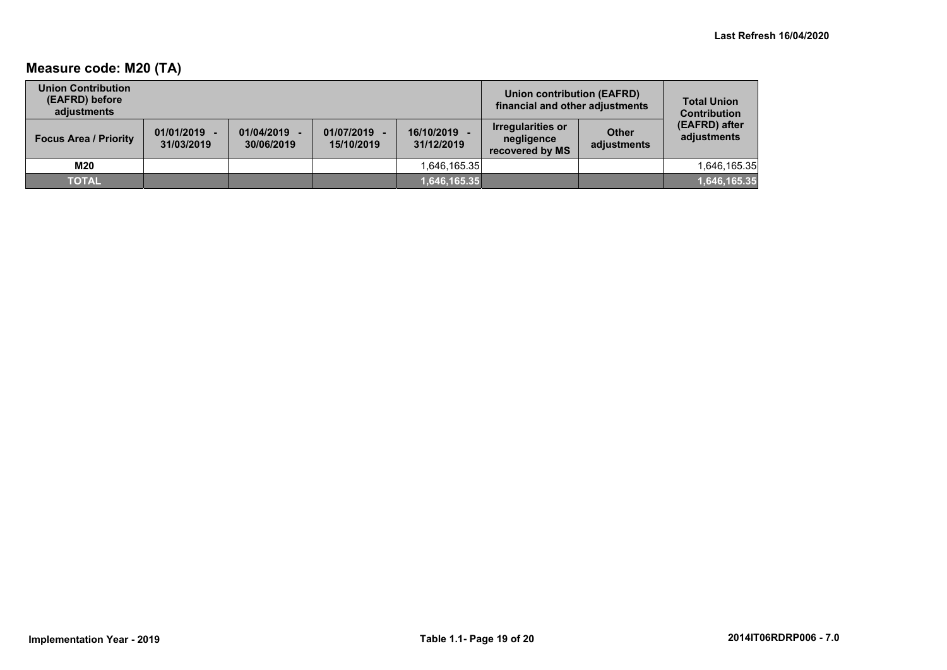## **Measure code: M20 (TA)**

| <b>Union Contribution</b><br>(EAFRD) before<br>adiustments |                              |                          |                            |                          | <b>Union contribution (EAFRD)</b><br>financial and other adjustments |                      | <b>Total Union</b><br><b>Contribution</b> |
|------------------------------------------------------------|------------------------------|--------------------------|----------------------------|--------------------------|----------------------------------------------------------------------|----------------------|-------------------------------------------|
| <b>Focus Area / Priority</b>                               | $01/01/2019 -$<br>31/03/2019 | 01/04/2019<br>30/06/2019 | 01/07/2019 -<br>15/10/2019 | 16/10/2019<br>31/12/2019 | <b>Irregularities or</b><br>negligence<br>recovered by MS            | Other<br>adjustments | (EAFRD) after<br>adjustments              |
| M20                                                        |                              |                          |                            | 1,646,165.35             |                                                                      |                      | 1,646,165.35                              |
| <b>TOTAL</b>                                               |                              |                          |                            | 1,646,165.35             |                                                                      |                      | 1,646,165.35                              |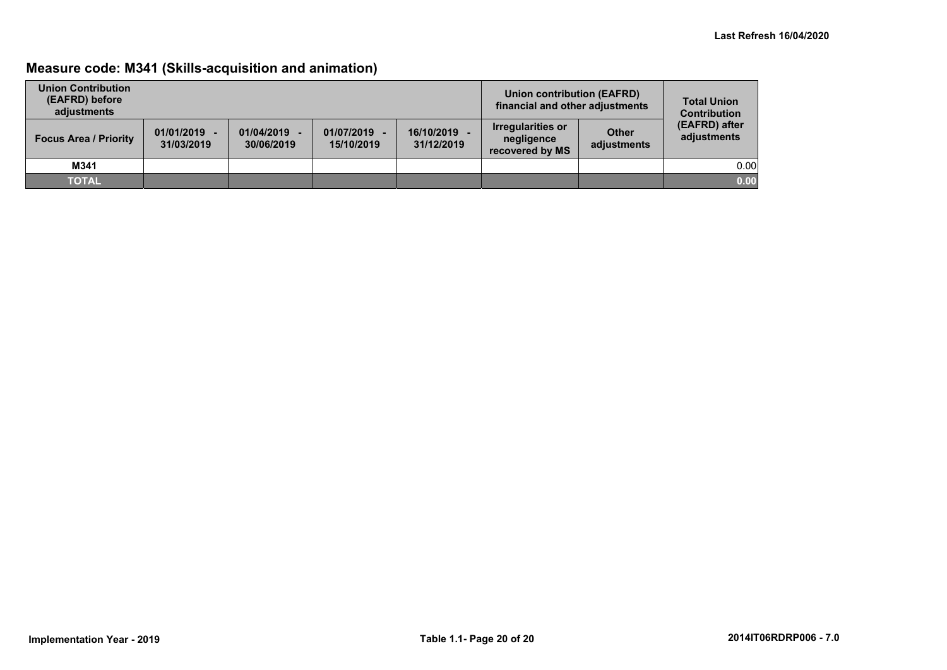## **Measure code: M341 (Skills-acquisition and animation)**

| <b>Union Contribution</b><br>(EAFRD) before<br>adjustments |                              |                          |                            |                          | Union contribution (EAFRD)<br>financial and other adjustments |                             | <b>Total Union</b><br><b>Contribution</b> |
|------------------------------------------------------------|------------------------------|--------------------------|----------------------------|--------------------------|---------------------------------------------------------------|-----------------------------|-------------------------------------------|
| <b>Focus Area / Priority</b>                               | $01/01/2019 -$<br>31/03/2019 | 01/04/2019<br>30/06/2019 | 01/07/2019 -<br>15/10/2019 | 16/10/2019<br>31/12/2019 | <b>Irregularities or</b><br>negligence<br>recovered by MS     | <b>Other</b><br>adjustments | (EAFRD) after<br>adjustments              |
| M341                                                       |                              |                          |                            |                          |                                                               |                             | 0.00                                      |
| <b>TOTAL</b>                                               |                              |                          |                            |                          |                                                               |                             | 0.00                                      |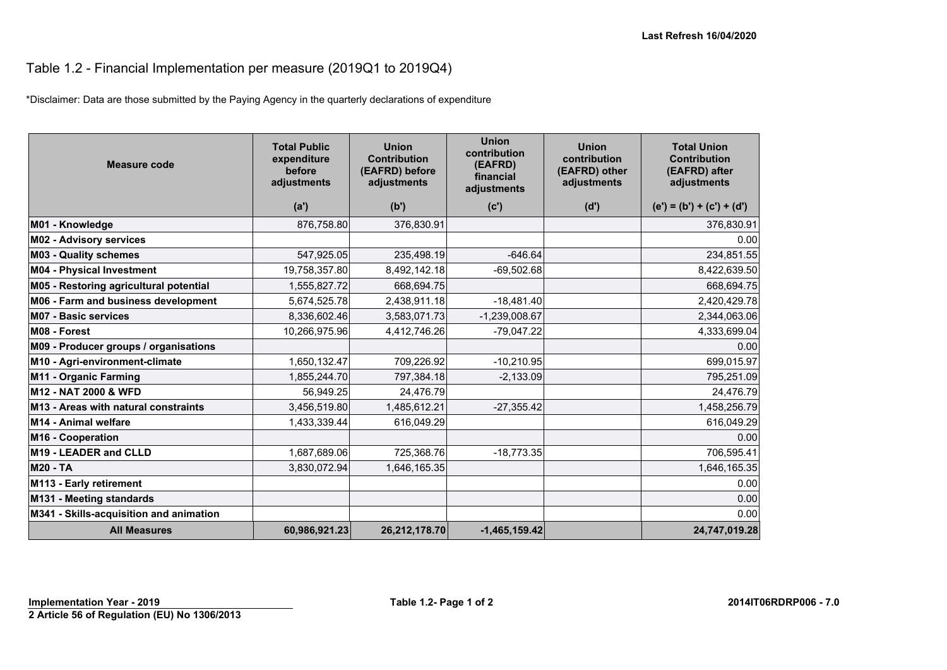## Table 1.2 - Financial Implementation per measure (2019Q1 to 2019Q4)

\*Disclaimer: Data are those submitted by the Paying Agency in the quarterly declarations of expenditure

| <b>Measure code</b>                     | <b>Total Public</b><br>expenditure<br>before<br>adjustments | <b>Union</b><br><b>Contribution</b><br>(EAFRD) before<br>adjustments | <b>Union</b><br>contribution<br>(EAFRD)<br>financial<br>adjustments | <b>Union</b><br>contribution<br>(EAFRD) other<br>adjustments | <b>Total Union</b><br><b>Contribution</b><br>(EAFRD) after<br>adjustments |
|-----------------------------------------|-------------------------------------------------------------|----------------------------------------------------------------------|---------------------------------------------------------------------|--------------------------------------------------------------|---------------------------------------------------------------------------|
|                                         | (a')                                                        | (b')                                                                 | (c')                                                                | (d')                                                         | $(e') = (b') + (c') + (d')$                                               |
| M01 - Knowledge                         | 876,758.80                                                  | 376,830.91                                                           |                                                                     |                                                              | 376,830.91                                                                |
| M02 - Advisory services                 |                                                             |                                                                      |                                                                     |                                                              | 0.00                                                                      |
| <b>M03 - Quality schemes</b>            | 547,925.05                                                  | 235,498.19                                                           | $-646.64$                                                           |                                                              | 234,851.55                                                                |
| <b>M04 - Physical Investment</b>        | 19,758,357.80                                               | 8,492,142.18                                                         | $-69,502.68$                                                        |                                                              | 8,422,639.50                                                              |
| M05 - Restoring agricultural potential  | 1,555,827.72                                                | 668,694.75                                                           |                                                                     |                                                              | 668,694.75                                                                |
| M06 - Farm and business development     | 5,674,525.78                                                | 2,438,911.18                                                         | $-18,481.40$                                                        |                                                              | 2,420,429.78                                                              |
| <b>M07 - Basic services</b>             | 8,336,602.46                                                | 3,583,071.73                                                         | $-1,239,008.67$                                                     |                                                              | 2,344,063.06                                                              |
| M08 - Forest                            | 10,266,975.96                                               | 4,412,746.26                                                         | $-79,047.22$                                                        |                                                              | 4,333,699.04                                                              |
| M09 - Producer groups / organisations   |                                                             |                                                                      |                                                                     |                                                              | 0.00                                                                      |
| M10 - Agri-environment-climate          | 1,650,132.47                                                | 709,226.92                                                           | $-10,210.95$                                                        |                                                              | 699,015.97                                                                |
| M11 - Organic Farming                   | 1,855,244.70                                                | 797,384.18                                                           | $-2,133.09$                                                         |                                                              | 795,251.09                                                                |
| M12 - NAT 2000 & WFD                    | 56,949.25                                                   | 24,476.79                                                            |                                                                     |                                                              | 24,476.79                                                                 |
| M13 - Areas with natural constraints    | 3,456,519.80                                                | 1,485,612.21                                                         | $-27,355.42$                                                        |                                                              | 1,458,256.79                                                              |
| M14 - Animal welfare                    | 1,433,339.44                                                | 616,049.29                                                           |                                                                     |                                                              | 616,049.29                                                                |
| M16 - Cooperation                       |                                                             |                                                                      |                                                                     |                                                              | 0.00                                                                      |
| M19 - LEADER and CLLD                   | 1,687,689.06                                                | 725,368.76                                                           | $-18,773.35$                                                        |                                                              | 706,595.41                                                                |
| <b>M20 - TA</b>                         | 3,830,072.94                                                | 1,646,165.35                                                         |                                                                     |                                                              | 1,646,165.35                                                              |
| M113 - Early retirement                 |                                                             |                                                                      |                                                                     |                                                              | 0.00                                                                      |
| M131 - Meeting standards                |                                                             |                                                                      |                                                                     |                                                              | 0.00                                                                      |
| M341 - Skills-acquisition and animation |                                                             |                                                                      |                                                                     |                                                              | 0.00                                                                      |
| <b>All Measures</b>                     | 60,986,921.23                                               | 26,212,178.70                                                        | $-1,465,159.42$                                                     |                                                              | 24,747,019.28                                                             |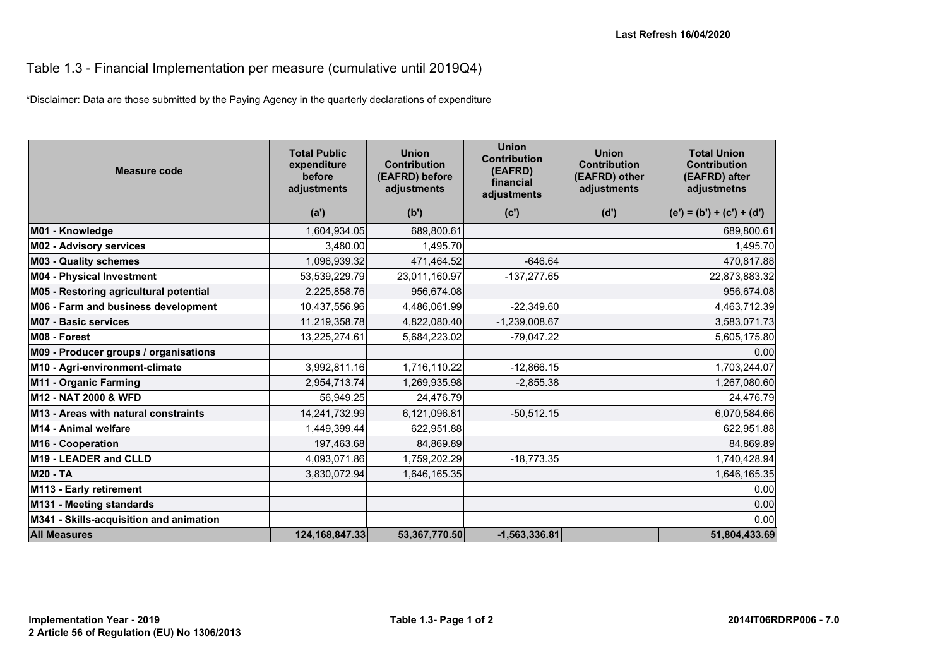#### Table 1.3 - Financial Implementation per measure (cumulative until 2019Q4)

\*Disclaimer: Data are those submitted by the Paying Agency in the quarterly declarations of expenditure

| Measure code                            | <b>Total Public</b><br>expenditure<br>before<br>adjustments | <b>Union</b><br><b>Contribution</b><br>(EAFRD) before<br>adjustments | <b>Union</b><br><b>Contribution</b><br>(EAFRD)<br>financial<br>adjustments | <b>Union</b><br><b>Contribution</b><br>(EAFRD) other<br>adjustments | <b>Total Union</b><br><b>Contribution</b><br>(EAFRD) after<br>adjustmetns |
|-----------------------------------------|-------------------------------------------------------------|----------------------------------------------------------------------|----------------------------------------------------------------------------|---------------------------------------------------------------------|---------------------------------------------------------------------------|
|                                         | (a')                                                        | (b')                                                                 | (c')                                                                       | (d')                                                                | $(e') = (b') + (c') + (d')$                                               |
| M01 - Knowledge                         | 1,604,934.05                                                | 689,800.61                                                           |                                                                            |                                                                     | 689,800.61                                                                |
| <b>M02 - Advisory services</b>          | 3,480.00                                                    | 1,495.70                                                             |                                                                            |                                                                     | 1,495.70                                                                  |
| <b>M03 - Quality schemes</b>            | 1,096,939.32                                                | 471,464.52                                                           | $-646.64$                                                                  |                                                                     | 470,817.88                                                                |
| M04 - Physical Investment               | 53,539,229.79                                               | 23,011,160.97                                                        | $-137,277.65$                                                              |                                                                     | 22,873,883.32                                                             |
| M05 - Restoring agricultural potential  | 2,225,858.76                                                | 956,674.08                                                           |                                                                            |                                                                     | 956,674.08                                                                |
| M06 - Farm and business development     | 10,437,556.96                                               | 4,486,061.99                                                         | $-22,349.60$                                                               |                                                                     | 4,463,712.39                                                              |
| <b>M07 - Basic services</b>             | 11,219,358.78                                               | 4,822,080.40                                                         | $-1,239,008.67$                                                            |                                                                     | 3,583,071.73                                                              |
| M08 - Forest                            | 13,225,274.61                                               | 5,684,223.02                                                         | $-79,047.22$                                                               |                                                                     | 5,605,175.80                                                              |
| M09 - Producer groups / organisations   |                                                             |                                                                      |                                                                            |                                                                     | 0.00                                                                      |
| M10 - Agri-environment-climate          | 3,992,811.16                                                | 1,716,110.22                                                         | $-12,866.15$                                                               |                                                                     | 1,703,244.07                                                              |
| M11 - Organic Farming                   | 2,954,713.74                                                | 1,269,935.98                                                         | $-2,855.38$                                                                |                                                                     | 1,267,080.60                                                              |
| M12 - NAT 2000 & WFD                    | 56,949.25                                                   | 24,476.79                                                            |                                                                            |                                                                     | 24,476.79                                                                 |
| M13 - Areas with natural constraints    | 14,241,732.99                                               | 6,121,096.81                                                         | $-50,512.15$                                                               |                                                                     | 6,070,584.66                                                              |
| M14 - Animal welfare                    | 1,449,399.44                                                | 622,951.88                                                           |                                                                            |                                                                     | 622,951.88                                                                |
| M16 - Cooperation                       | 197,463.68                                                  | 84,869.89                                                            |                                                                            |                                                                     | 84,869.89                                                                 |
| M19 - LEADER and CLLD                   | 4,093,071.86                                                | 1,759,202.29                                                         | $-18,773.35$                                                               |                                                                     | 1,740,428.94                                                              |
| <b>M20 - TA</b>                         | 3,830,072.94                                                | 1,646,165.35                                                         |                                                                            |                                                                     | 1,646,165.35                                                              |
| M113 - Early retirement                 |                                                             |                                                                      |                                                                            |                                                                     | 0.00                                                                      |
| M131 - Meeting standards                |                                                             |                                                                      |                                                                            |                                                                     | 0.00                                                                      |
| M341 - Skills-acquisition and animation |                                                             |                                                                      |                                                                            |                                                                     | 0.00                                                                      |
| <b>All Measures</b>                     | 124, 168, 847. 33                                           | 53,367,770.50                                                        | $-1,563,336.81$                                                            |                                                                     | 51,804,433.69                                                             |